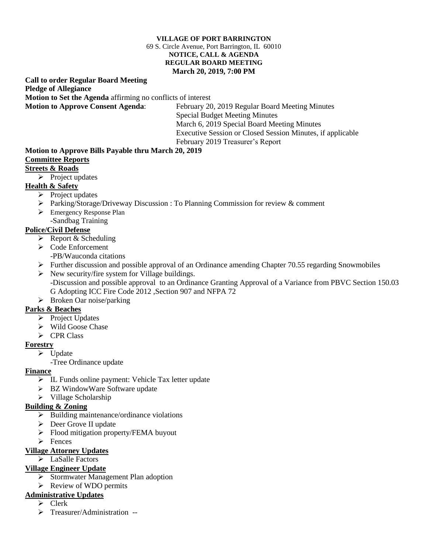#### **VILLAGE OF PORT BARRINGTON** 69 S. Circle Avenue, Port Barrington, IL 60010 **NOTICE, CALL & AGENDA REGULAR BOARD MEETING March 20, 2019, 7:00 PM**

#### **Call to order Regular Board Meeting Pledge of Allegiance Motion to Set the Agenda** affirming no conflicts of interest **Motion to Approve Consent Agenda**: February 20, 2019 Regular Board Meeting Minutes

Special Budget Meeting Minutes March 6, 2019 Special Board Meeting Minutes Executive Session or Closed Session Minutes, if applicable February 2019 Treasurer's Report

#### **Motion to Approve Bills Payable thru March 20, 2019 Committee Reports**

# **Streets & Roads**

 $\triangleright$  Project updates

# **Health & Safety**

- $\triangleright$  Project updates
- Parking/Storage/Driveway Discussion : To Planning Commission for review & comment
- Emergency Response Plan -Sandbag Training

# **Police/Civil Defense**

- $\triangleright$  Report & Scheduling
- $\triangleright$  Code Enforcement
	- -PB/Wauconda citations
- Further discussion and possible approval of an Ordinance amending Chapter 70.55 regarding Snowmobiles
- $\triangleright$  New security/fire system for Village buildings. -Discussion and possible approval to an Ordinance Granting Approval of a Variance from PBVC Section 150.03 G Adopting ICC Fire Code 2012 ,Section 907 and NFPA 72
- $\triangleright$  Broken Oar noise/parking

# **Parks & Beaches**

- $\triangleright$  Project Updates
- $\triangleright$  Wild Goose Chase
- $\triangleright$  CPR Class

# **Forestry**

- $\triangleright$  Update
	- -Tree Ordinance update

### **Finance**

- IL Funds online payment: Vehicle Tax letter update
- > BZ WindowWare Software update
- $\triangleright$  Village Scholarship

# **Building & Zoning**

- $\triangleright$  Building maintenance/ordinance violations
- Deer Grove II update
- $\triangleright$  Flood mitigation property/FEMA buyout
- $\triangleright$  Fences

### **Village Attorney Updates**

 $\triangleright$  LaSalle Factors

# **Village Engineer Update**

- $\triangleright$  Stormwater Management Plan adoption
- $\triangleright$  Review of WDO permits

# **Administrative Updates**

- $\triangleright$  Clerk
- > Treasurer/Administration --